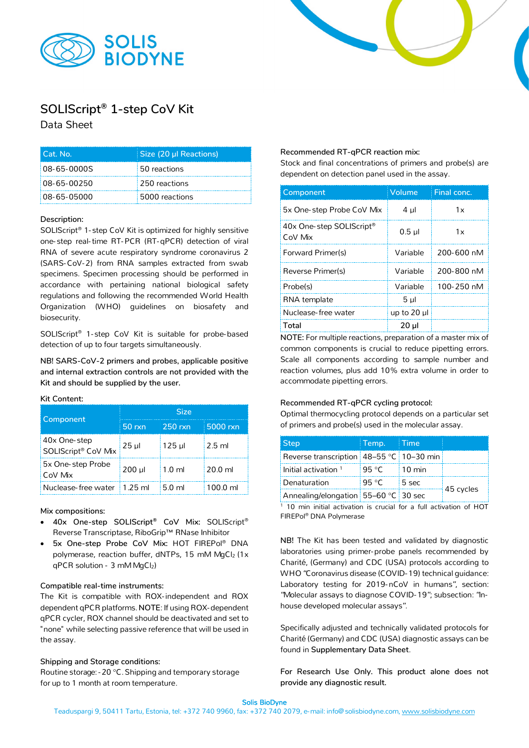



# **SOLIScript® 1-step CoV Kit**

Data Sheet

| l Cat. No.  | Size (20 µl Reactions) |
|-------------|------------------------|
| 08-65-0000S | 50 reactions           |
| 08-65-00250 | 250 reactions          |
| 08-65-05000 | 5000 reactions         |

## **Description:**

SOLIScript® 1- step CoV Kit is optimized for highly sensitive one- step real-time RT-PCR (RT-qPCR) detection of viral RNA of severe acute respiratory syndrome coronavirus 2 (SARS-CoV-2) from RNA samples extracted from swab specimens. Specimen processing should be performed in accordance with pertaining national biological safety regulations and following the recommended World Health Organization (WHO) guidelines on biosafety and biosecurity.

SOLIScript® 1- step CoV Kit is suitable for probe-based detection of up to four targets simultaneously.

**NB! SARS-CoV-2 primers and probes, applicable positive and internal extraction controls are not provided with the Kit and should be supplied by the user.**

### **Kit Content:**

|                                     | <b>Size</b> |                  |           |  |
|-------------------------------------|-------------|------------------|-----------|--|
| Component                           | 50 rxn      | $250$ rxn        | 5000 rxn  |  |
| 40x One-step<br>SOLIScript® CoV Mix | $25$ µ      | $125$ µ          | $2.5$ ml  |  |
| 5x One-step Probe<br>CoV Mix        | 200 ul      | $1.0 \text{ ml}$ | $20.0$ ml |  |
| Nuclease-free water                 | $1.25$ ml   | $5.0 \text{ ml}$ | 100.0 ml  |  |

### **Mix compositions:**

- **40x One-step SOLIScript® CoV Mix:** SOLIScript® Reverse Transcriptase, RiboGrip™ RNase Inhibitor
- **5x One-step Probe CoV Mix:** HOT FIREPol® DNA polymerase, reaction buffer, dNTPs, 15 mM MgCl2 (1x qPCR solution - 3 mM MgCl2)

### **Compatible real-time instruments:**

The Kit is compatible with ROX-independent and ROX dependent qPCR platforms. **NOTE**: If using ROX-dependent qPCR cycler, ROX channel should be deactivated and set to "none" while selecting passive reference that will be used in the assay.

### **Shipping and Storage conditions:**

Routine storage: -20 °C.Shipping and temporary storage for up to 1 month at room temperature.

### **Recommended RT-qPCR reaction mix:**

Stock and final concentrations of primers and probe(s) are dependent on detection panel used in the assay.

| Component                           | Volume         | Final conc. |
|-------------------------------------|----------------|-------------|
| 5x One-step Probe CoV Mix           | 4 ul           | 1x          |
| 40x One-step SOLIScript®<br>CoV Mix | $0.5$ µl       | 1x          |
| Forward Primer(s)                   | Variable       | 200-600 nM  |
| Reverse Primer(s)                   | Variable       | 200-800 nM  |
| Probe(s)                            | Variable       | 100-250 nM  |
| RNA template                        | 5 <sub>µ</sub> |             |
| Nuclease-free water                 | up to 20 $\mu$ |             |
| Total                               | $20 \mu$       |             |

**NOTE:** For multiple reactions, preparation of a master mix of common components is crucial to reduce pipetting errors. Scale all components according to sample number and reaction volumes, plus add 10% extra volume in order to accommodate pipetting errors.

### **Recommended RT-qPCR cycling protocol:**

Optimal thermocycling protocol depends on a particular set of primers and probe(s) used in the molecular assay.

| <b>Step</b>                              | Temp.  | ⊟ Time.      |           |
|------------------------------------------|--------|--------------|-----------|
| Reverse transcription 48-55 °C 10-30 min |        |              |           |
| Initial activation $1$                   | 95 °C. | $\pm 10$ min |           |
| Denaturation                             | 95 °C  | i 5 sec      |           |
| Annealing/elongation 55-60 °C 30 sec     |        |              | 45 cycles |

 $1$  10 min initial activation is crucial for a full activation of HOT FIREPol® DNA Polymerase

**NB!** The Kit has been tested and validated by diagnostic laboratories using primer-probe panels recommended by Charité, (Germany) and CDC (USA) protocols according to WHO "Coronavirus disease (COVID-19) technical guidance: Laboratory testing for 2019-nCoV in humans", section: "Molecular assays to diagnose COVID-19"; subsection: "Inhouse developed molecular assays".

Specifically adjusted and technically validated protocols for Charité (Germany) and CDC (USA) diagnostic assays can be found in **Supplementary Data Sheet**.

**For Research Use Only. This product alone does not provide any diagnostic result.**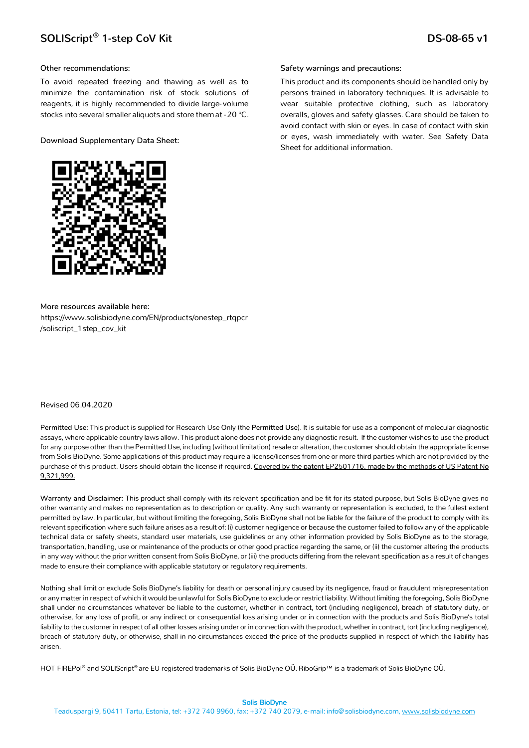#### **Other recommendations:**

To avoid repeated freezing and thawing as well as to minimize the contamination risk of stock solutions of reagents, it is highly recommended to divide large- volume stocks into several smaller aliquots and store them at -20 °C.

**Download Supplementary Data Sheet:** 



**More resources available here:** https://www.solisbiodyne.com/EN/products/onestep\_rtqpcr /soliscript\_1step\_cov\_kit

## Revised 06.04.2020

**Permitted Use:** This product is supplied for Research Use Only (the **Permitted Use**). It is suitable for use as a component of molecular diagnostic assays, where applicable country laws allow. This product alone does not provide any diagnostic result. If the customer wishes to use the product for any purpose other than the Permitted Use, including (without limitation) resale or alteration, the customer should obtain the appropriate license from Solis BioDyne. Some applications of this product may require a license/licenses from one or more third parties which are not provided by the purchase of this product. Users should obtain the license if required. Covered by the patent EP2501716, made by the methods of US Patent No 9,321,999.

**Warranty and Disclaimer:** This product shall comply with its relevant specification and be fit for its stated purpose, but Solis BioDyne gives no other warranty and makes no representation as to description or quality. Any such warranty or representation is excluded, to the fullest extent permitted by law. In particular, but without limiting the foregoing, Solis BioDyne shall not be liable for the failure of the product to comply with its relevant specification where such failure arises as a result of: (i) customer negligence or because the customer failed to follow any of the applicable technical data or safety sheets, standard user materials, use guidelines or any other information provided by Solis BioDyne as to the storage, transportation, handling, use or maintenance of the products or other good practice regarding the same, or (ii) the customer altering the products in any way without the prior written consent from Solis BioDyne, or (iii) the products differing from the relevant specification as a result of changes made to ensure their compliance with applicable statutory or regulatory requirements.

Nothing shall limit or exclude Solis BioDyne's liability for death or personal injury caused by its negligence, fraud or fraudulent misrepresentation or any matter in respect of which it would be unlawful for Solis BioDyne to exclude or restrict liability. Without limiting the foregoing, Solis BioDyne shall under no circumstances whatever be liable to the customer, whether in contract, tort (including negligence), breach of statutory duty, or otherwise, for any loss of profit, or any indirect or consequential loss arising under or in connection with the products and Solis BioDyne's total liability to the customer in respect of all other losses arising under or in connection with the product, whether in contract, tort (including negligence), breach of statutory duty, or otherwise, shall in no circumstances exceed the price of the products supplied in respect of which the liability has arisen.

HOT FIREPol® and SOLIScript® are EU registered trademarks of Solis BioDyne OÜ. RiboGrip™ is a trademark of Solis BioDyne OÜ.

#### **Safety warnings and precautions:**

This product and its components should be handled only by persons trained in laboratory techniques. It is advisable to wear suitable protective clothing, such as laboratory overalls, gloves and safety glasses. Care should be taken to avoid contact with skin or eyes. In case of contact with skin or eyes, wash immediately with water. See Safety Data Sheet for additional information.

#### Solis BioDyne

Teaduspargi 9, 50411 Tartu, Estonia, tel: +372 740 9960, fax: +372 740 2079, e-mail: info@solisbiodyne.com[, www.solisbiodyne.com](http://www.solisbiodyne.com/)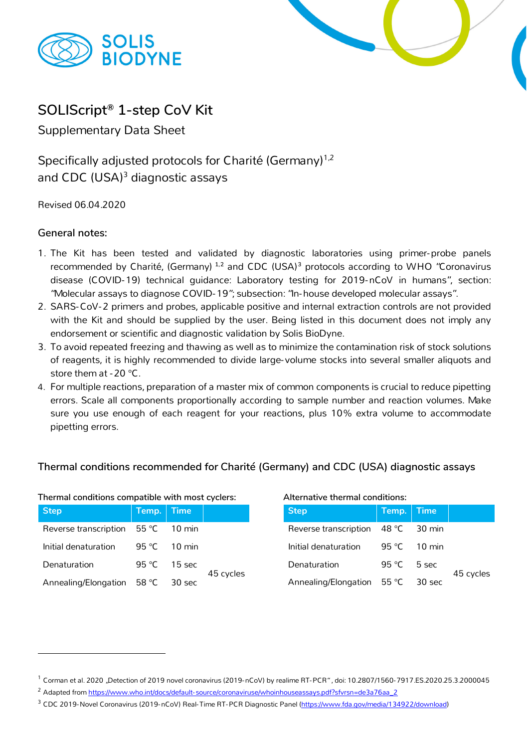



# **SOLIScript® 1-step CoV Kit**

Supplementary Data Sheet

Specifically adjusted protocols for Charité (Germany)<sup>1,2</sup> and CDC (USA)<sup>3</sup> diagnostic assays

Revised 06.04.2020

## **General notes:**

- 1. The Kit has been tested and validated by diagnostic laboratories using primer-probe panels recommended by Charité, (Germany) **[1](#page-2-0),[2](#page-2-1)** and CDC (USA)**[3](#page-2-2)** protocols according to WHO "Coronavirus disease (COVID-19) technical guidance: Laboratory testing for 2019-nCoV in humans", section: "Molecular assays to diagnose COVID-19"; subsection: "In-house developed molecular assays".
- 2. SARS-CoV-2 primers and probes, applicable positive and internal extraction controls are not provided with the Kit and should be supplied by the user. Being listed in this document does not imply any endorsement or scientific and diagnostic validation by Solis BioDyne.
- 3. To avoid repeated freezing and thawing as well as to minimize the contamination risk of stock solutions of reagents, it is highly recommended to divide large- volume stocks into several smaller aliquots and store them at -20 °C.
- 4. For multiple reactions, preparation of a master mix of common components is crucial to reduce pipetting errors. Scale all components proportionally according to sample number and reaction volumes. Make sure you use enough of each reagent for your reactions, plus 10% extra volume to accommodate pipetting errors.

## **Thermal conditions recommended for Charité (Germany) and CDC (USA) diagnostic assays**

| <b>Step</b>                            | Temp. Time   |              |           |
|----------------------------------------|--------------|--------------|-----------|
| Reverse transcription   55 °C   10 min |              |              |           |
| Initial denaturation                   |              | 95 °C 10 min |           |
| Denaturation                           | 95 °C 15 sec |              | 45 cycles |
| Annealing/Elongation 58 °C             |              | -30 sec      |           |

## **Thermal conditions compatible with most cyclers: Alternative thermal conditions:**

| <b>Step</b>                                        | Temp. Time        |                    |           |
|----------------------------------------------------|-------------------|--------------------|-----------|
| Reverse transcription $\vert$ 48 °C $\vert$ 30 min |                   |                    |           |
| Initial denaturation                               |                   | 95 °C 10 min       |           |
| Denaturation                                       | 95 °C $\pm$ 5 sec |                    | 45 cycles |
| Annealing/Elongation 55 °C                         |                   | $\parallel$ 30 sec |           |

<span id="page-2-0"></span> $1$  Corman et al. 2020 "Detection of 2019 novel coronavirus (2019-nCoV) by realime RT-PCR", doi: 10.2807/1560-7917.ES.2020.25.3.2000045

<span id="page-2-1"></span><sup>&</sup>lt;sup>2</sup> Adapted from https://www.who.int/docs/default-[source/coronaviruse/whoinhouseassays.pdf?sfvrsn=de3a76aa\\_2](https://www.who.int/docs/default-source/coronaviruse/whoinhouseassays.pdf?sfvrsn=de3a76aa_2)

<span id="page-2-2"></span><sup>&</sup>lt;sup>3</sup> CDC 2019-Novel Coronavirus (2019-nCoV) Real-Time RT-PCR Diagnostic Panel [\(https://www.fda.gov/media/134922/download\)](https://www.fda.gov/media/134922/download)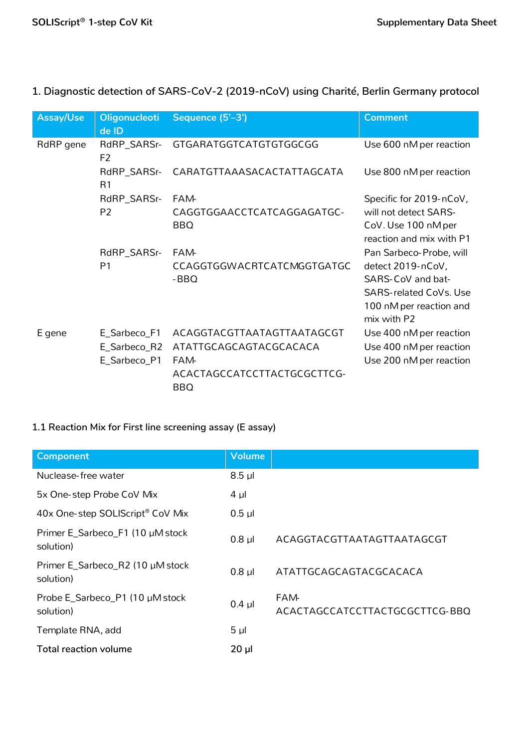| Assay/Use | <b>Oligonucleoti</b><br>de ID | Sequence (5'-3')                                  | <b>Comment</b>                                                                                                                               |
|-----------|-------------------------------|---------------------------------------------------|----------------------------------------------------------------------------------------------------------------------------------------------|
| RdRP gene | RdRP_SARSr-<br>F <sub>2</sub> | <b>GTGARATGGTCATGTGTGGCGG</b>                     | Use 600 nM per reaction                                                                                                                      |
|           | RdRP_SARSr-<br>R <sub>1</sub> | CARATGTTAAASACACTATTAGCATA                        | Use 800 nM per reaction                                                                                                                      |
|           | RdRP_SARSr-<br>P <sub>2</sub> | FAM-<br>CAGGTGGAACCTCATCAGGAGATGC-<br><b>BBQ</b>  | Specific for 2019-nCoV,<br>will not detect SARS-<br>CoV. Use 100 nM per<br>reaction and mix with P1                                          |
|           | RdRP_SARSr-<br>P <sub>1</sub> | <b>FAM-</b><br>CCAGGTGGWACRTCATCMGGTGATGC<br>-BBQ | Pan Sarbeco-Probe, will<br>detect 2019-nCoV,<br>SARS-CoV and bat-<br><b>SARS-related CoVs. Use</b><br>100 nM per reaction and<br>mix with P2 |
| E gene    | E_Sarbeco_F1                  | ACAGGTACGTTAATAGTTAATAGCGT                        | Use 400 nM per reaction                                                                                                                      |
|           | E_Sarbeco_R2                  | ATATTGCAGCAGTACGCACACA                            | Use 400 nM per reaction                                                                                                                      |
|           | E_Sarbeco_P1                  | FAM-<br>ACACTAGCCATCCTTACTGCGCTTCG-<br><b>BBQ</b> | Use 200 nM per reaction                                                                                                                      |

## **1. Diagnostic detection of SARS-CoV-2 (2019-nCoV) using Charité, Berlin Germany protocol**

## **1.1 Reaction Mix for First line screening assay (E assay)**

| <b>Component</b>                              | <b>Volume</b> |                                               |
|-----------------------------------------------|---------------|-----------------------------------------------|
| Nuclease-free water                           | $8.5$ µl      |                                               |
| 5x One-step Probe CoV Mix                     | $4 \mu$       |                                               |
| 40x One-step SOLIScript® CoV Mix              | $0.5$ $\mu$   |                                               |
| Primer E_Sarbeco_F1 (10 µM stock<br>solution) | $0.8$ $\mu$   | ACAGGTACGTTAATAGTTAATAGCGT                    |
| Primer E_Sarbeco_R2 (10 µM stock<br>solution) | $0.8$ $\mu$   | ATATTGCAGCAGTACGCACACA                        |
| Probe E_Sarbeco_P1 (10 µM stock<br>solution)  | $0.4$ µl      | <b>FAM-</b><br>ACACTAGCCATCCTTACTGCGCTTCG-BBQ |
| Template RNA, add                             | $5 \mu$       |                                               |
| Total reaction volume                         | $20 \mu$      |                                               |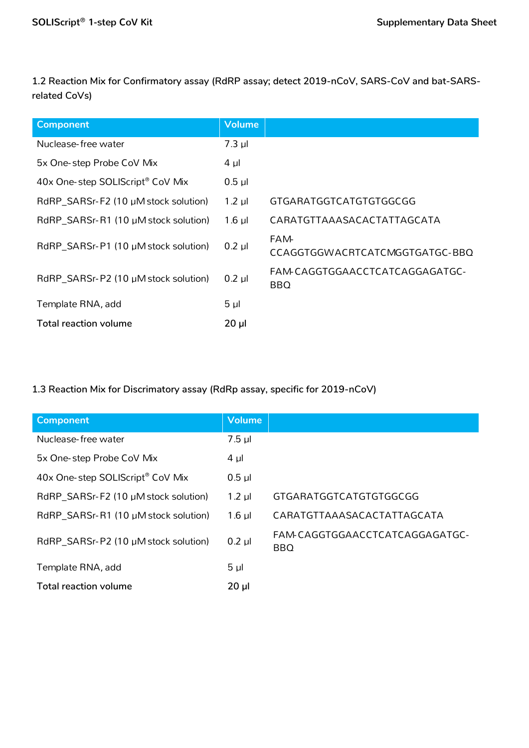**1.2 Reaction Mix for Confirmatory assay (RdRP assay; detect 2019-nCoV, SARS-CoV and bat-SARSrelated CoVs)**

| <b>Component</b>                              | <b>Volume</b> |                                               |
|-----------------------------------------------|---------------|-----------------------------------------------|
| Nuclease-free water                           | $7.3$ µl      |                                               |
| 5x One-step Probe CoV Mix                     | $4 \mu$       |                                               |
| 40x One-step SOLIScript® CoV Mix              | $0.5$ $\mu$   |                                               |
| RdRP_SARSr-F2 (10 µM stock solution)          | $1.2$ µl      | GTGARATGGTCATGTGTGGCGG                        |
| $RdRP\_SARSr- R1$ (10 $\mu$ M stock solution) | $1.6$ µl      | CARATGTTAAASACACTATTAGCATA                    |
| RdRP_SARSr-P1 (10 µM stock solution)          | $0.2$ µl      | <b>FAM-</b><br>CCAGGTGGWACRTCATCMGGTGATGC-BBQ |
| RdRP_SARSr-P2 (10 µM stock solution)          | $0.2$ µl      | FAM-CAGGTGGAACCTCATCAGGAGATGC-<br><b>BBQ</b>  |
| Template RNA, add                             | $5 \mu$       |                                               |
| Total reaction volume                         | $20 \mu$      |                                               |

## **1.3 Reaction Mix for Discrimatory assay (RdRp assay, specific for 2019-nCoV)**

| <b>Component</b>                     | <b>Volume</b>  |                                              |
|--------------------------------------|----------------|----------------------------------------------|
| Nuclease-free water                  | $7.5$ $\mu$    |                                              |
| 5x One-step Probe CoV Mix            | $4 \mu$        |                                              |
| 40x One-step SOLIScript® CoV Mix     | $0.5$ $\mu$    |                                              |
| RdRP_SARSr-F2 (10 µM stock solution) | $1.2$ µl       | GTGARATGGTCATGTGTGGCGG                       |
| RdRP_SARSr-R1 (10 µM stock solution) | $1.6$ µl       | CARATGTTAAASACACTATTAGCATA                   |
| RdRP_SARSr-P2 (10 µM stock solution) | $0.2$ $\mu$    | FAM CAGGTGGAACCTCATCAGGAGATGC-<br><b>BBQ</b> |
| Template RNA, add                    | 5 <sub>µ</sub> |                                              |
| Total reaction volume                | $20 \mu$       |                                              |